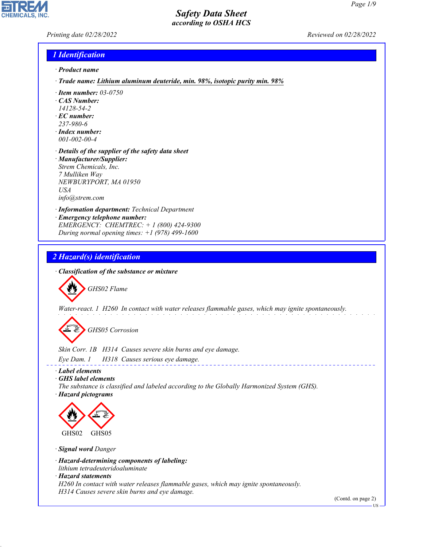*Printing date 02/28/2022 Reviewed on 02/28/2022*

#### *1 Identification*

- *· Product name*
- *· Trade name: Lithium aluminum deuteride, min. 98%, isotopic purity min. 98%*
- *· Item number: 03-0750*
- *· CAS Number:*
- *14128-54-2*
- *· EC number: 237-980-6*
- 
- *· Index number: 001-002-00-4*
- *· Details of the supplier of the safety data sheet · Manufacturer/Supplier: Strem Chemicals, Inc. 7 Mulliken Way NEWBURYPORT, MA 01950 USA info@strem.com*
- *· Information department: Technical Department*
- *· Emergency telephone number: EMERGENCY: CHEMTREC: + 1 (800) 424-9300 During normal opening times: +1 (978) 499-1600*

#### *2 Hazard(s) identification*

*· Classification of the substance or mixture*

d~*GHS02 Flame*

*Water-react. 1 H260 In contact with water releases flammable gases, which may ignite spontaneously.*

d~*GHS05 Corrosion*

*Skin Corr. 1B H314 Causes severe skin burns and eye damage.*

*Eye Dam. 1 H318 Causes serious eye damage.*

*· Label elements*

*· GHS label elements*

*The substance is classified and labeled according to the Globally Harmonized System (GHS).*

*· Hazard pictograms*



*· Signal word Danger*

*· Hazard-determining components of labeling:*

*lithium tetradeuteridoaluminate*

#### *· Hazard statements*

44.1.1

*H260 In contact with water releases flammable gases, which may ignite spontaneously. H314 Causes severe skin burns and eye damage.*

(Contd. on page 2)

US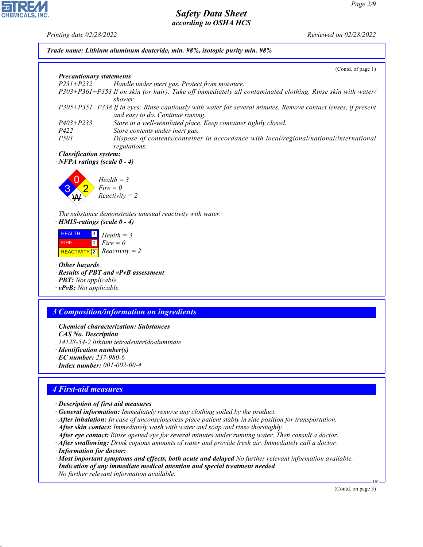

- *· After inhalation: In case of unconsciousness place patient stably in side position for transportation.*
- *· After skin contact: Immediately wash with water and soap and rinse thoroughly.*
- *· After eye contact: Rinse opened eye for several minutes under running water. Then consult a doctor.*
- *· After swallowing: Drink copious amounts of water and provide fresh air. Immediately call a doctor.*
- *· Information for doctor:*

44.1.1

*· Most important symptoms and effects, both acute and delayed No further relevant information available.*

*· Indication of any immediate medical attention and special treatment needed No further relevant information available.*

(Contd. on page 3)

US

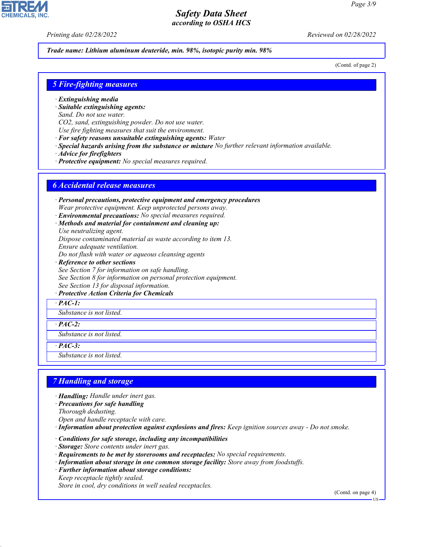*Printing date 02/28/2022 Reviewed on 02/28/2022*

*Trade name: Lithium aluminum deuteride, min. 98%, isotopic purity min. 98%*

(Contd. of page 2)

#### *5 Fire-fighting measures*

- *· Extinguishing media*
- *· Suitable extinguishing agents:*
- *Sand. Do not use water.*
- *CO2, sand, extinguishing powder. Do not use water.*
- *Use fire fighting measures that suit the environment.*
- *· For safety reasons unsuitable extinguishing agents: Water*
- *· Special hazards arising from the substance or mixture No further relevant information available.*
- *· Advice for firefighters*
- *· Protective equipment: No special measures required.*

#### *6 Accidental release measures*

*· Personal precautions, protective equipment and emergency procedures Wear protective equipment. Keep unprotected persons away.*

- *· Environmental precautions: No special measures required.*
- *· Methods and material for containment and cleaning up:*
- *Use neutralizing agent. Dispose contaminated material as waste according to item 13.*
- *Ensure adequate ventilation.*
- *Do not flush with water or aqueous cleansing agents*
- *· Reference to other sections See Section 7 for information on safe handling. See Section 8 for information on personal protection equipment. See Section 13 for disposal information.*
- *· Protective Action Criteria for Chemicals*
- *· PAC-1:*

*Substance is not listed.*

*· PAC-2:*

*Substance is not listed.*

*· PAC-3:*

44.1.1

*Substance is not listed.*

#### *7 Handling and storage*

- *· Handling: Handle under inert gas.*
- *· Precautions for safe handling*
- *Thorough dedusting.*
- *Open and handle receptacle with care.*
- *· Information about protection against explosions and fires: Keep ignition sources away Do not smoke.*
- *· Conditions for safe storage, including any incompatibilities*
- *· Storage: Store contents under inert gas.*
- *· Requirements to be met by storerooms and receptacles: No special requirements.*
- *· Information about storage in one common storage facility: Store away from foodstuffs.*
- *· Further information about storage conditions: Keep receptacle tightly sealed.*

*Store in cool, dry conditions in well sealed receptacles.*

(Contd. on page 4)

US

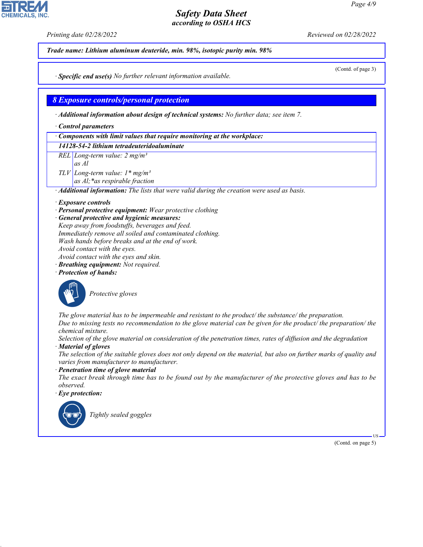*Printing date 02/28/2022 Reviewed on 02/28/2022*



*· Material of gloves*

**CHEMICALS, INC** 

*The selection of the suitable gloves does not only depend on the material, but also on further marks of quality and varies from manufacturer to manufacturer.*

*· Penetration time of glove material*

*The exact break through time has to be found out by the manufacturer of the protective gloves and has to be observed.*

*· Eye protection:*



44.1.1

\_R*Tightly sealed goggles*

(Contd. on page 5)

US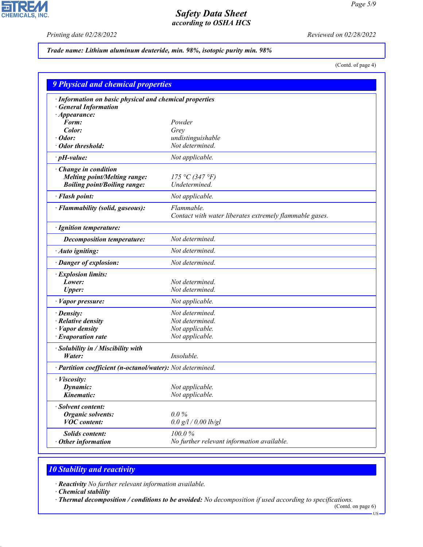**FIR CHEMICALS, INC.** 

*Printing date 02/28/2022 Reviewed on 02/28/2022*

### *Trade name: Lithium aluminum deuteride, min. 98%, isotopic purity min. 98%*

(Contd. of page 4)

| <b>9 Physical and chemical properties</b>                  |                                                         |  |  |
|------------------------------------------------------------|---------------------------------------------------------|--|--|
| · Information on basic physical and chemical properties    |                                                         |  |  |
| <b>General Information</b>                                 |                                                         |  |  |
| $\cdot$ Appearance:                                        |                                                         |  |  |
| Form:                                                      | Powder                                                  |  |  |
| Color:                                                     | Grey                                                    |  |  |
| Odor:                                                      | undistinguishable                                       |  |  |
| Odor threshold:                                            | Not determined.                                         |  |  |
| $\cdot$ pH-value:                                          | Not applicable.                                         |  |  |
| $\cdot$ Change in condition                                |                                                         |  |  |
| <b>Melting point/Melting range:</b>                        | 175 °C (347 °F)                                         |  |  |
| <b>Boiling point/Boiling range:</b>                        | Undetermined.                                           |  |  |
| · Flash point:                                             | Not applicable.                                         |  |  |
| · Flammability (solid, gaseous):                           | Flammable.                                              |  |  |
|                                                            | Contact with water liberates extremely flammable gases. |  |  |
| · Ignition temperature:                                    |                                                         |  |  |
| <b>Decomposition temperature:</b>                          | Not determined.                                         |  |  |
| · Auto igniting:                                           | Not determined.                                         |  |  |
| · Danger of explosion:                                     | Not determined.                                         |  |  |
| · Explosion limits:                                        |                                                         |  |  |
| Lower:                                                     | Not determined.                                         |  |  |
| <b>Upper:</b>                                              | Not determined.                                         |  |  |
| · Vapor pressure:                                          | Not applicable.                                         |  |  |
| · Density:                                                 | Not determined.                                         |  |  |
| · Relative density                                         | Not determined.                                         |  |  |
| · Vapor density                                            | Not applicable.                                         |  |  |
| · Evaporation rate                                         | Not applicable.                                         |  |  |
| · Solubility in / Miscibility with                         |                                                         |  |  |
| Water:                                                     | Insoluble.                                              |  |  |
| · Partition coefficient (n-octanol/water): Not determined. |                                                         |  |  |
| · <i>Viscosity</i> :                                       |                                                         |  |  |
| Dynamic:                                                   | Not applicable.                                         |  |  |
| Kinematic:                                                 | Not applicable.                                         |  |  |
| <b>Solvent content:</b>                                    |                                                         |  |  |
| <b>Organic solvents:</b>                                   | $0.0\%$                                                 |  |  |
| <b>VOC</b> content:                                        | $0.0$ g/l / 0.00 lb/gl                                  |  |  |
| <b>Solids content:</b>                                     | 100.0%                                                  |  |  |
| Other information                                          | No further relevant information available.              |  |  |

# *10 Stability and reactivity*

*· Reactivity No further relevant information available.*

*· Chemical stability*

44.1.1

*· Thermal decomposition / conditions to be avoided: No decomposition if used according to specifications.*

(Contd. on page 6)  $-US -$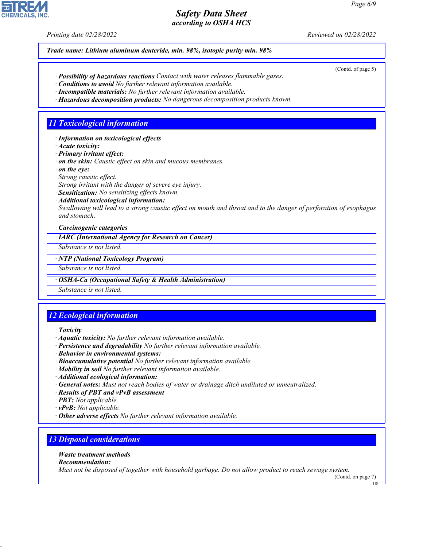*Printing date 02/28/2022 Reviewed on 02/28/2022*

(Contd. of page 5)

*Trade name: Lithium aluminum deuteride, min. 98%, isotopic purity min. 98%*

- *· Possibility of hazardous reactions Contact with water releases flammable gases.*
- *· Conditions to avoid No further relevant information available.*
- *· Incompatible materials: No further relevant information available.*
- *· Hazardous decomposition products: No dangerous decomposition products known.*

#### *11 Toxicological information*

- *· Information on toxicological effects*
- *· Acute toxicity:*
- *· Primary irritant effect:*
- *· on the skin: Caustic effect on skin and mucous membranes.*
- *· on the eye:*
- *Strong caustic effect.*
- *Strong irritant with the danger of severe eye injury.*
- *· Sensitization: No sensitizing effects known.*
- *· Additional toxicological information:*

*Swallowing will lead to a strong caustic effect on mouth and throat and to the danger of perforation of esophagus and stomach.*

*· Carcinogenic categories*

*· IARC (International Agency for Research on Cancer)*

*Substance is not listed.*

*· NTP (National Toxicology Program)*

*Substance is not listed.*

*· OSHA-Ca (Occupational Safety & Health Administration)*

*Substance is not listed.*

# *12 Ecological information*

- *· Toxicity*
- *· Aquatic toxicity: No further relevant information available.*
- *· Persistence and degradability No further relevant information available.*
- *· Behavior in environmental systems:*
- *· Bioaccumulative potential No further relevant information available.*
- *· Mobility in soil No further relevant information available.*
- *· Additional ecological information:*
- *· General notes: Must not reach bodies of water or drainage ditch undiluted or unneutralized.*
- *· Results of PBT and vPvB assessment*
- *· PBT: Not applicable.*
- *· vPvB: Not applicable.*
- *· Other adverse effects No further relevant information available.*

# *13 Disposal considerations*

*· Waste treatment methods · Recommendation:*

44.1.1

*Must not be disposed of together with household garbage. Do not allow product to reach sewage system.*

(Contd. on page 7)

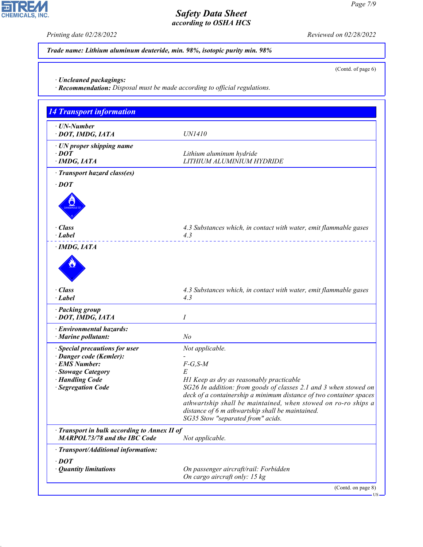PI R **CHEMICALS, INC.** 

44.1.1

*Printing date 02/28/2022 Reviewed on 02/28/2022*

(Contd. of page 6)

*Trade name: Lithium aluminum deuteride, min. 98%, isotopic purity min. 98%*

*· Uncleaned packagings:*

*· Recommendation: Disposal must be made according to official regulations.*

| <b>14 Transport information</b>                                                   |                                                                                                                                                                                                                                                                                                                                              |  |
|-----------------------------------------------------------------------------------|----------------------------------------------------------------------------------------------------------------------------------------------------------------------------------------------------------------------------------------------------------------------------------------------------------------------------------------------|--|
| · UN-Number<br>· DOT, IMDG, IATA                                                  | <i>UN1410</i>                                                                                                                                                                                                                                                                                                                                |  |
| · UN proper shipping name<br>$\cdot$ DOT<br>$\cdot$ IMDG, IATA                    | Lithium aluminum hydride<br>LITHIUM ALUMINIUM HYDRIDE                                                                                                                                                                                                                                                                                        |  |
| · Transport hazard class(es)                                                      |                                                                                                                                                                                                                                                                                                                                              |  |
| $\cdot$ DOT                                                                       |                                                                                                                                                                                                                                                                                                                                              |  |
|                                                                                   |                                                                                                                                                                                                                                                                                                                                              |  |
| · Class<br>· Label                                                                | 4.3 Substances which, in contact with water, emit flammable gases<br>4.3                                                                                                                                                                                                                                                                     |  |
| $\cdot$ IMDG, IATA                                                                | ___________________________                                                                                                                                                                                                                                                                                                                  |  |
|                                                                                   |                                                                                                                                                                                                                                                                                                                                              |  |
| · Class<br>· Label                                                                | 4.3 Substances which, in contact with water, emit flammable gases<br>4.3                                                                                                                                                                                                                                                                     |  |
| · Packing group<br>· DOT, IMDG, IATA                                              | Ι                                                                                                                                                                                                                                                                                                                                            |  |
| · Environmental hazards:<br>$\cdot$ Marine pollutant:                             | N <sub>o</sub>                                                                                                                                                                                                                                                                                                                               |  |
| <b>Special precautions for user</b>                                               | Not applicable.                                                                                                                                                                                                                                                                                                                              |  |
| · Danger code (Kemler):<br>· EMS Number:                                          | $F-G, S-M$                                                                                                                                                                                                                                                                                                                                   |  |
| · Stowage Category                                                                | E                                                                                                                                                                                                                                                                                                                                            |  |
| · Handling Code<br>· Segregation Code                                             | H1 Keep as dry as reasonably practicable<br>SG26 In addition: from goods of classes 2.1 and 3 when stowed on<br>deck of a containership a minimum distance of two container spaces<br>athwartship shall be maintained, when stowed on ro-ro ships a<br>distance of 6 m athwartship shall be maintained.<br>SG35 Stow "separated from" acids. |  |
| Transport in bulk according to Annex II of<br><b>MARPOL73/78 and the IBC Code</b> | Not applicable.                                                                                                                                                                                                                                                                                                                              |  |
| · Transport/Additional information:                                               |                                                                                                                                                                                                                                                                                                                                              |  |
| $\cdot$ DOT                                                                       |                                                                                                                                                                                                                                                                                                                                              |  |
| <b>Quantity limitations</b>                                                       | On passenger aircraft/rail: Forbidden<br>On cargo aircraft only: 15 kg                                                                                                                                                                                                                                                                       |  |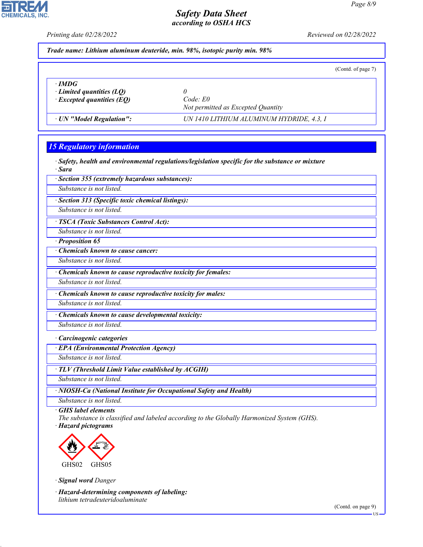*Printing date 02/28/2022 Reviewed on 02/28/2022*

*Trade name: Lithium aluminum deuteride, min. 98%, isotopic purity min. 98%*

(Contd. of page 7)

*· IMDG*

**CHEMICALS, INC** 

*i control quantities (LQ) a d code: E0 code: E0 code: E0 <i>·* Excepted quantities (EQ)

*Not permitted as Excepted Quantity*

*· UN "Model Regulation": UN 1410 LITHIUM ALUMINUM HYDRIDE, 4.3, I*

#### *15 Regulatory information*

*· Safety, health and environmental regulations/legislation specific for the substance or mixture · Sara*

*· Section 355 (extremely hazardous substances):*

*Substance is not listed.*

*· Section 313 (Specific toxic chemical listings):*

*Substance is not listed.*

*· TSCA (Toxic Substances Control Act):*

*Substance is not listed.*

*· Proposition 65*

*· Chemicals known to cause cancer:*

*Substance is not listed.*

*· Chemicals known to cause reproductive toxicity for females:*

*Substance is not listed.*

*· Chemicals known to cause reproductive toxicity for males:*

*Substance is not listed.*

*· Chemicals known to cause developmental toxicity:*

*Substance is not listed.*

*· Carcinogenic categories*

*· EPA (Environmental Protection Agency)*

*Substance is not listed.*

*· TLV (Threshold Limit Value established by ACGIH)*

*Substance is not listed.*

*· NIOSH-Ca (National Institute for Occupational Safety and Health)*

*Substance is not listed.*

*· GHS label elements*

*The substance is classified and labeled according to the Globally Harmonized System (GHS). · Hazard pictograms*



GHS02 GHS05

*· Signal word Danger*

44.1.1

*· Hazard-determining components of labeling: lithium tetradeuteridoaluminate*

(Contd. on page 9)

US